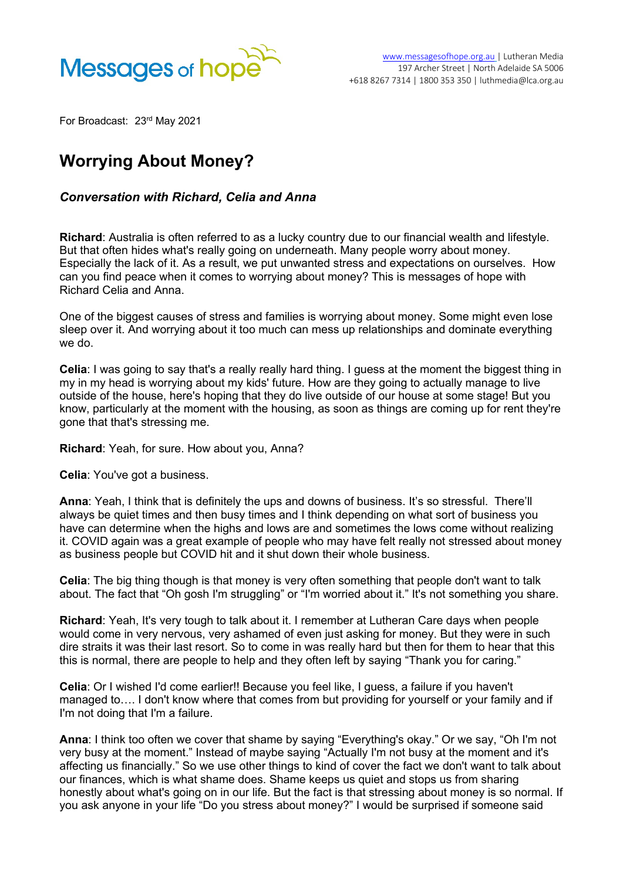

For Broadcast: 23rd May 2021

## **Worrying About Money?**

## *Conversation with Richard, Celia and Anna*

**Richard**: Australia is often referred to as a lucky country due to our financial wealth and lifestyle. But that often hides what's really going on underneath. Many people worry about money. Especially the lack of it. As a result, we put unwanted stress and expectations on ourselves. How can you find peace when it comes to worrying about money? This is messages of hope with Richard Celia and Anna.

One of the biggest causes of stress and families is worrying about money. Some might even lose sleep over it. And worrying about it too much can mess up relationships and dominate everything we do.

**Celia:** I was going to say that's a really really hard thing. I guess at the moment the biggest thing in my in my head is worrying about my kids' future. How are they going to actually manage to live outside of the house, here's hoping that they do live outside of our house at some stage! But you know, particularly at the moment with the housing, as soon as things are coming up for rent they're gone that that's stressing me.

## **Richard**: Yeah, for sure. How about you, Anna?

**Celia**: You've got a business.

**Anna**: Yeah, I think that is definitely the ups and downs of business. It's so stressful. There'll always be quiet times and then busy times and I think depending on what sort of business you have can determine when the highs and lows are and sometimes the lows come without realizing it. COVID again was a great example of people who may have felt really not stressed about money as business people but COVID hit and it shut down their whole business.

**Celia**: The big thing though is that money is very often something that people don't want to talk about. The fact that "Oh gosh I'm struggling" or "I'm worried about it." It's not something you share.

**Richard**: Yeah, It's very tough to talk about it. I remember at Lutheran Care days when people would come in very nervous, very ashamed of even just asking for money. But they were in such dire straits it was their last resort. So to come in was really hard but then for them to hear that this this is normal, there are people to help and they often left by saying "Thank you for caring."

**Celia**: Or I wished I'd come earlier!! Because you feel like, I guess, a failure if you haven't managed to…. I don't know where that comes from but providing for yourself or your family and if I'm not doing that I'm a failure.

**Anna**: I think too often we cover that shame by saying "Everything's okay." Or we say, "Oh I'm not very busy at the moment." Instead of maybe saying "Actually I'm not busy at the moment and it's affecting us financially." So we use other things to kind of cover the fact we don't want to talk about our finances, which is what shame does. Shame keeps us quiet and stops us from sharing honestly about what's going on in our life. But the fact is that stressing about money is so normal. If you ask anyone in your life "Do you stress about money?" I would be surprised if someone said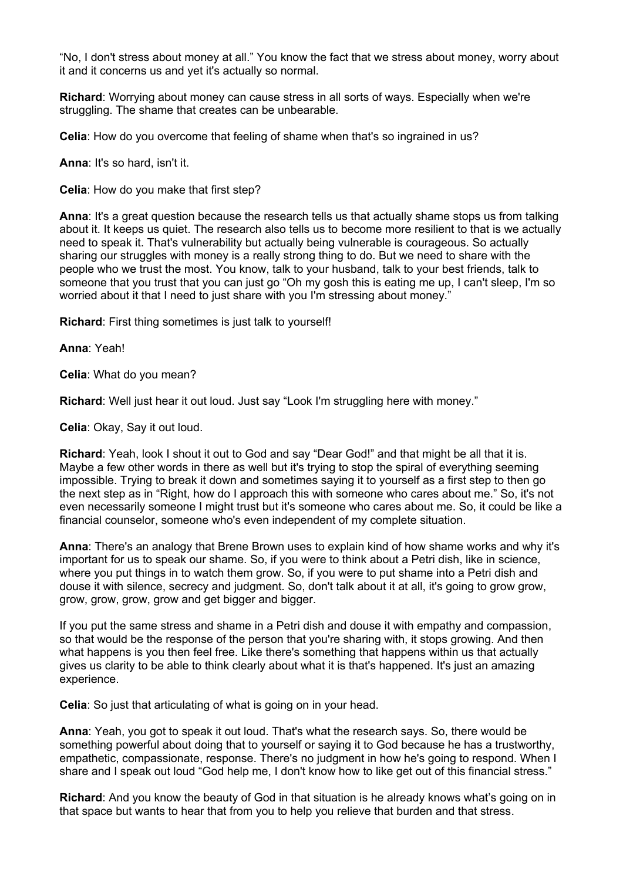"No, I don't stress about money at all." You know the fact that we stress about money, worry about it and it concerns us and yet it's actually so normal.

**Richard**: Worrying about money can cause stress in all sorts of ways. Especially when we're struggling. The shame that creates can be unbearable.

**Celia**: How do you overcome that feeling of shame when that's so ingrained in us?

**Anna**: It's so hard, isn't it.

**Celia**: How do you make that first step?

**Anna**: It's a great question because the research tells us that actually shame stops us from talking about it. It keeps us quiet. The research also tells us to become more resilient to that is we actually need to speak it. That's vulnerability but actually being vulnerable is courageous. So actually sharing our struggles with money is a really strong thing to do. But we need to share with the people who we trust the most. You know, talk to your husband, talk to your best friends, talk to someone that you trust that you can just go "Oh my gosh this is eating me up, I can't sleep, I'm so worried about it that I need to just share with you I'm stressing about money."

**Richard**: First thing sometimes is just talk to yourself!

**Anna**: Yeah!

**Celia**: What do you mean?

**Richard**: Well just hear it out loud. Just say "Look I'm struggling here with money."

**Celia**: Okay, Say it out loud.

**Richard**: Yeah, look I shout it out to God and say "Dear God!" and that might be all that it is. Maybe a few other words in there as well but it's trying to stop the spiral of everything seeming impossible. Trying to break it down and sometimes saying it to yourself as a first step to then go the next step as in "Right, how do I approach this with someone who cares about me." So, it's not even necessarily someone I might trust but it's someone who cares about me. So, it could be like a financial counselor, someone who's even independent of my complete situation.

**Anna**: There's an analogy that Brene Brown uses to explain kind of how shame works and why it's important for us to speak our shame. So, if you were to think about a Petri dish, like in science, where you put things in to watch them grow. So, if you were to put shame into a Petri dish and douse it with silence, secrecy and judgment. So, don't talk about it at all, it's going to grow grow, grow, grow, grow, grow and get bigger and bigger.

If you put the same stress and shame in a Petri dish and douse it with empathy and compassion, so that would be the response of the person that you're sharing with, it stops growing. And then what happens is you then feel free. Like there's something that happens within us that actually gives us clarity to be able to think clearly about what it is that's happened. It's just an amazing experience.

**Celia**: So just that articulating of what is going on in your head.

**Anna**: Yeah, you got to speak it out loud. That's what the research says. So, there would be something powerful about doing that to yourself or saying it to God because he has a trustworthy, empathetic, compassionate, response. There's no judgment in how he's going to respond. When I share and I speak out loud "God help me, I don't know how to like get out of this financial stress."

**Richard**: And you know the beauty of God in that situation is he already knows what's going on in that space but wants to hear that from you to help you relieve that burden and that stress.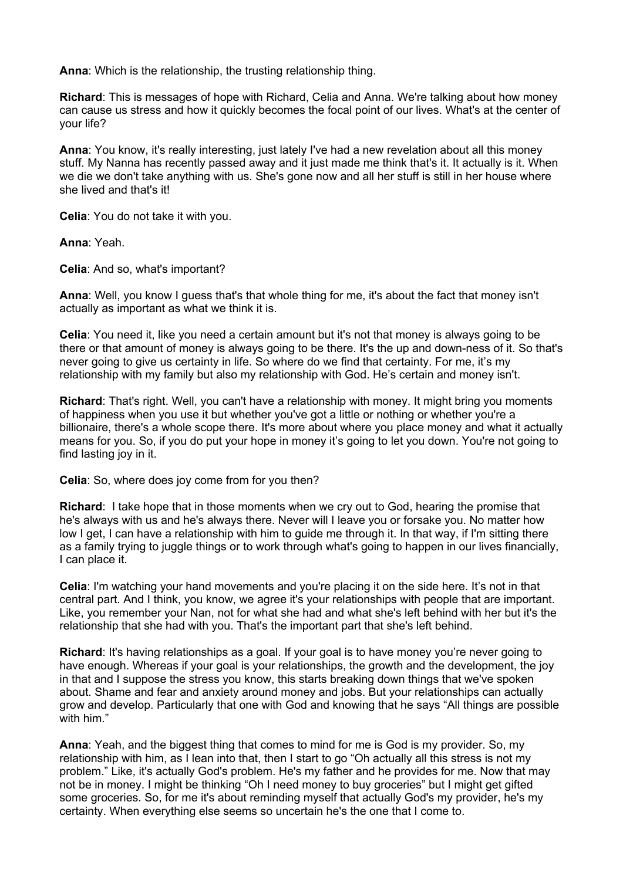**Anna**: Which is the relationship, the trusting relationship thing.

**Richard**: This is messages of hope with Richard, Celia and Anna. We're talking about how money can cause us stress and how it quickly becomes the focal point of our lives. What's at the center of your life?

**Anna**: You know, it's really interesting, just lately I've had a new revelation about all this money stuff. My Nanna has recently passed away and it just made me think that's it. It actually is it. When we die we don't take anything with us. She's gone now and all her stuff is still in her house where she lived and that's it!

**Celia**: You do not take it with you.

**Anna**: Yeah.

**Celia**: And so, what's important?

**Anna**: Well, you know I guess that's that whole thing for me, it's about the fact that money isn't actually as important as what we think it is.

**Celia**: You need it, like you need a certain amount but it's not that money is always going to be there or that amount of money is always going to be there. It's the up and down-ness of it. So that's never going to give us certainty in life. So where do we find that certainty. For me, it's my relationship with my family but also my relationship with God. He's certain and money isn't.

**Richard**: That's right. Well, you can't have a relationship with money. It might bring you moments of happiness when you use it but whether you've got a little or nothing or whether you're a billionaire, there's a whole scope there. It's more about where you place money and what it actually means for you. So, if you do put your hope in money it's going to let you down. You're not going to find lasting joy in it.

**Celia:** So, where does joy come from for you then?

**Richard**: I take hope that in those moments when we cry out to God, hearing the promise that he's always with us and he's always there. Never will I leave you or forsake you. No matter how low I get, I can have a relationship with him to guide me through it. In that way, if I'm sitting there as a family trying to juggle things or to work through what's going to happen in our lives financially, I can place it.

**Celia**: I'm watching your hand movements and you're placing it on the side here. It's not in that central part. And I think, you know, we agree it's your relationships with people that are important. Like, you remember your Nan, not for what she had and what she's left behind with her but it's the relationship that she had with you. That's the important part that she's left behind.

**Richard**: It's having relationships as a goal. If your goal is to have money you're never going to have enough. Whereas if your goal is your relationships, the growth and the development, the joy in that and I suppose the stress you know, this starts breaking down things that we've spoken about. Shame and fear and anxiety around money and jobs. But your relationships can actually grow and develop. Particularly that one with God and knowing that he says "All things are possible with him"

**Anna**: Yeah, and the biggest thing that comes to mind for me is God is my provider. So, my relationship with him, as I lean into that, then I start to go "Oh actually all this stress is not my problem." Like, it's actually God's problem. He's my father and he provides for me. Now that may not be in money. I might be thinking "Oh I need money to buy groceries" but I might get gifted some groceries. So, for me it's about reminding myself that actually God's my provider, he's my certainty. When everything else seems so uncertain he's the one that I come to.